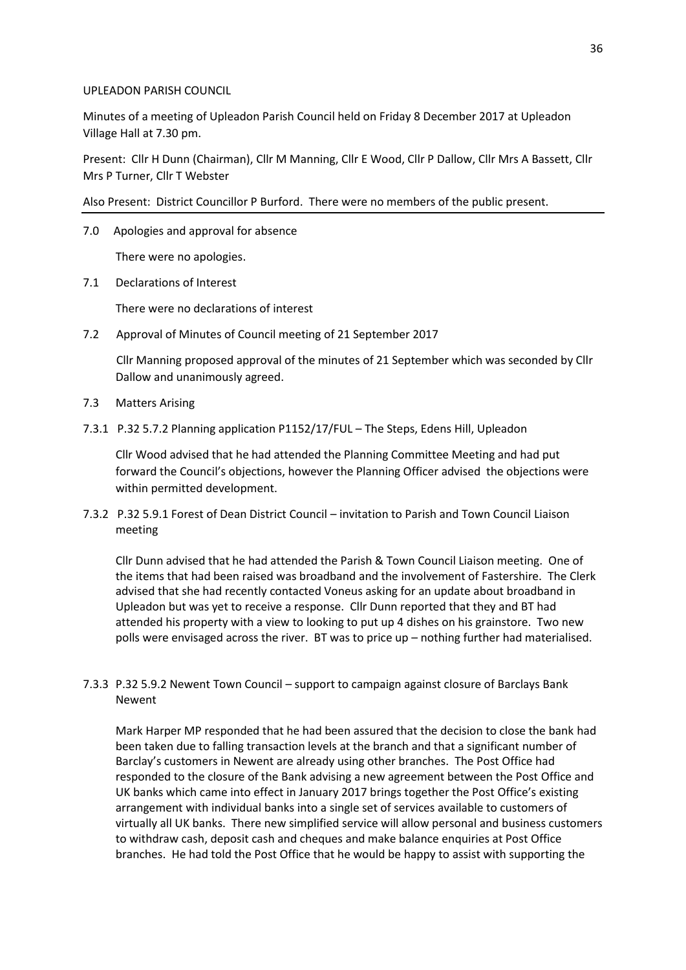#### UPLEADON PARISH COUNCIL

Minutes of a meeting of Upleadon Parish Council held on Friday 8 December 2017 at Upleadon Village Hall at 7.30 pm.

Present: Cllr H Dunn (Chairman), Cllr M Manning, Cllr E Wood, Cllr P Dallow, Cllr Mrs A Bassett, Cllr Mrs P Turner, Cllr T Webster

Also Present: District Councillor P Burford. There were no members of the public present.

7.0 Apologies and approval for absence

There were no apologies.

7.1 Declarations of Interest

There were no declarations of interest

7.2 Approval of Minutes of Council meeting of 21 September 2017

 Cllr Manning proposed approval of the minutes of 21 September which was seconded by Cllr Dallow and unanimously agreed.

- 7.3 Matters Arising
- 7.3.1 P.32 5.7.2 Planning application P1152/17/FUL The Steps, Edens Hill, Upleadon

Cllr Wood advised that he had attended the Planning Committee Meeting and had put forward the Council's objections, however the Planning Officer advised the objections were within permitted development.

7.3.2 P.32 5.9.1 Forest of Dean District Council – invitation to Parish and Town Council Liaison meeting

Cllr Dunn advised that he had attended the Parish & Town Council Liaison meeting. One of the items that had been raised was broadband and the involvement of Fastershire. The Clerk advised that she had recently contacted Voneus asking for an update about broadband in Upleadon but was yet to receive a response. Cllr Dunn reported that they and BT had attended his property with a view to looking to put up 4 dishes on his grainstore. Two new polls were envisaged across the river. BT was to price up – nothing further had materialised.

7.3.3 P.32 5.9.2 Newent Town Council – support to campaign against closure of Barclays Bank Newent

Mark Harper MP responded that he had been assured that the decision to close the bank had been taken due to falling transaction levels at the branch and that a significant number of Barclay's customers in Newent are already using other branches. The Post Office had responded to the closure of the Bank advising a new agreement between the Post Office and UK banks which came into effect in January 2017 brings together the Post Office's existing arrangement with individual banks into a single set of services available to customers of virtually all UK banks. There new simplified service will allow personal and business customers to withdraw cash, deposit cash and cheques and make balance enquiries at Post Office branches. He had told the Post Office that he would be happy to assist with supporting the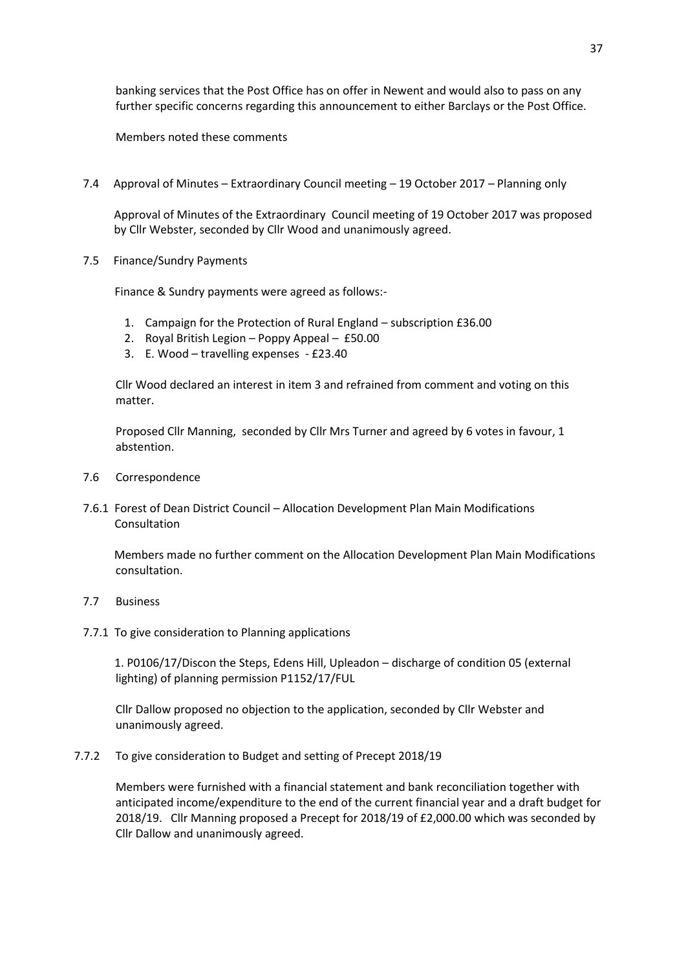banking services that the Post Office has on offer in Newent and would also to pass on any further specific concerns regarding this announcement to either Barclays or the Post Office.

Members noted these comments

7.4 Approval of Minutes – Extraordinary Council meeting – 19 October 2017 – Planning only

Approval of Minutes of the Extraordinary Council meeting of 19 October 2017 was proposed by Cllr Webster, seconded by Cllr Wood and unanimously agreed.

7.5 Finance/Sundry Payments

Finance & Sundry payments were agreed as follows:-

- 1. Campaign for the Protection of Rural England subscription £36.00
- 2. Royal British Legion Poppy Appeal £50.00
- 3. E. Wood travelling expenses £23.40

Cllr Wood declared an interest in item 3 and refrained from comment and voting on this matter.

Proposed Cllr Manning, seconded by Cllr Mrs Turner and agreed by 6 votes in favour, 1 abstention.

- 7.6 Correspondence
- 7.6.1 Forest of Dean District Council Allocation Development Plan Main Modifications Consultation

 Members made no further comment on the Allocation Development Plan Main Modifications consultation.

- 7.7 Business
- 7.7.1 To give consideration to Planning applications

 1. P0106/17/Discon the Steps, Edens Hill, Upleadon – discharge of condition 05 (external lighting) of planning permission P1152/17/FUL

Cllr Dallow proposed no objection to the application, seconded by Cllr Webster and unanimously agreed.

7.7.2 To give consideration to Budget and setting of Precept 2018/19

Members were furnished with a financial statement and bank reconciliation together with anticipated income/expenditure to the end of the current financial year and a draft budget for 2018/19. Cllr Manning proposed a Precept for 2018/19 of £2,000.00 which was seconded by Cllr Dallow and unanimously agreed.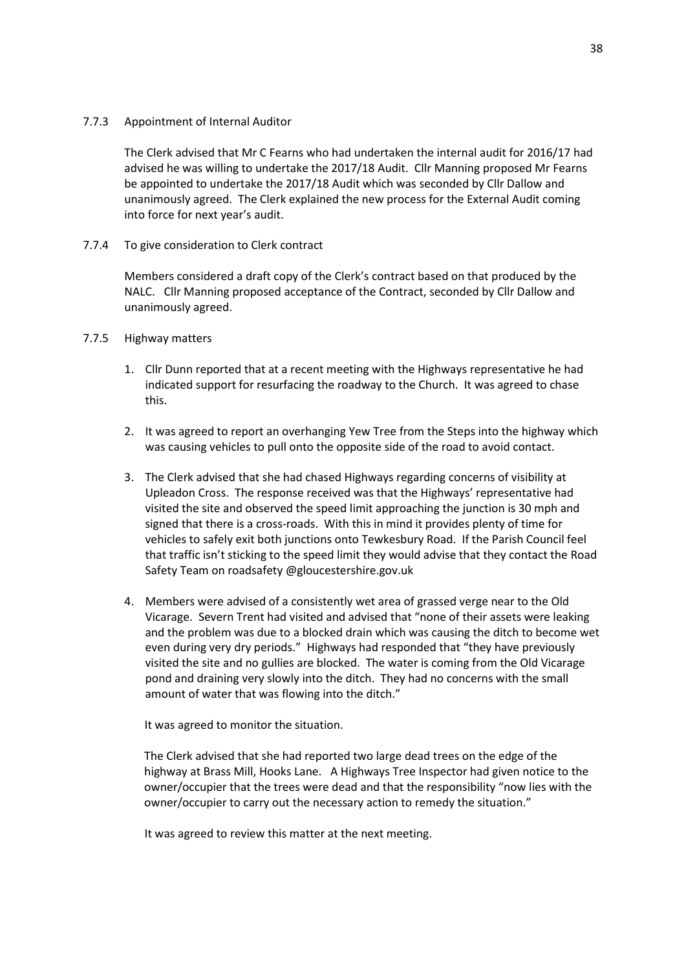#### 7.7.3 Appointment of Internal Auditor

The Clerk advised that Mr C Fearns who had undertaken the internal audit for 2016/17 had advised he was willing to undertake the 2017/18 Audit. Cllr Manning proposed Mr Fearns be appointed to undertake the 2017/18 Audit which was seconded by Cllr Dallow and unanimously agreed. The Clerk explained the new process for the External Audit coming into force for next year's audit.

### 7.7.4 To give consideration to Clerk contract

Members considered a draft copy of the Clerk's contract based on that produced by the NALC. Cllr Manning proposed acceptance of the Contract, seconded by Cllr Dallow and unanimously agreed.

## 7.7.5 Highway matters

- 1. Cllr Dunn reported that at a recent meeting with the Highways representative he had indicated support for resurfacing the roadway to the Church. It was agreed to chase this.
- 2. It was agreed to report an overhanging Yew Tree from the Steps into the highway which was causing vehicles to pull onto the opposite side of the road to avoid contact.
- 3. The Clerk advised that she had chased Highways regarding concerns of visibility at Upleadon Cross. The response received was that the Highways' representative had visited the site and observed the speed limit approaching the junction is 30 mph and signed that there is a cross-roads. With this in mind it provides plenty of time for vehicles to safely exit both junctions onto Tewkesbury Road. If the Parish Council feel that traffic isn't sticking to the speed limit they would advise that they contact the Road Safety Team on roadsafety @gloucestershire.gov.uk
- 4. Members were advised of a consistently wet area of grassed verge near to the Old Vicarage. Severn Trent had visited and advised that "none of their assets were leaking and the problem was due to a blocked drain which was causing the ditch to become wet even during very dry periods." Highways had responded that "they have previously visited the site and no gullies are blocked. The water is coming from the Old Vicarage pond and draining very slowly into the ditch. They had no concerns with the small amount of water that was flowing into the ditch."

It was agreed to monitor the situation.

The Clerk advised that she had reported two large dead trees on the edge of the highway at Brass Mill, Hooks Lane. A Highways Tree Inspector had given notice to the owner/occupier that the trees were dead and that the responsibility "now lies with the owner/occupier to carry out the necessary action to remedy the situation."

It was agreed to review this matter at the next meeting.